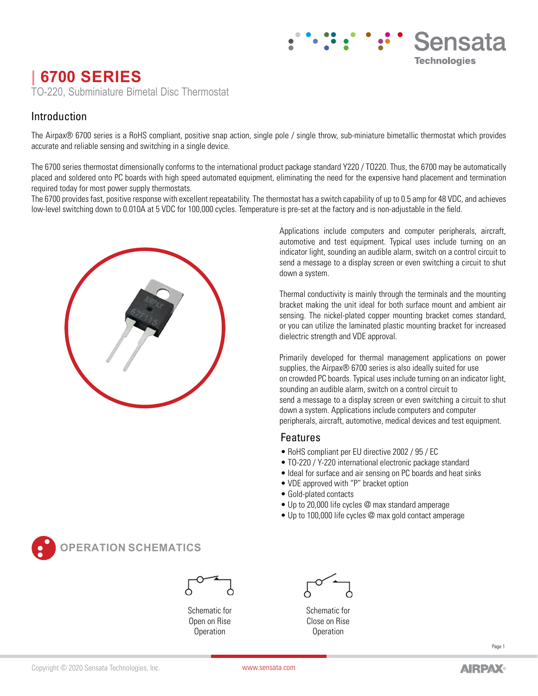# **| 6700 SERIES** TO-220, Subminiature Bimetal Disc Thermostat

## Introduction

The Airpax® 6700 series is a RoHS compliant, positive snap action, single pole / single throw, sub-miniature bimetallic thermostat which provides accurate and reliable sensing and switching in a single device.

The 6700 series thermostat dimensionally conforms to the international product package standard Y220 / TO220. Thus, the 6700 may be automatically placed and soldered onto PC boards with high speed automated equipment, eliminating the need for the expensive hand placement and termination required today for most power supply thermostats.

The 6700 provides fast, positive response with excellent repeatability. The thermostat has a switch capability of up to 0.5 amp for 48 VDC, and achieves low-level switching down to 0.010A at 5 VDC for 100,000 cycles. Temperature is pre-set at the factory and is non-adjustable in the field.



Applications include computers and computer peripherals, aircraft, automotive and test equipment. Typical uses include turning on an indicator light, sounding an audible alarm, switch on a control circuit to send a message to a display screen or even switching a circuit to shut down a system.

Sensata

**Technologies** 

Thermal conductivity is mainly through the terminals and the mounting bracket making the unit ideal for both surface mount and ambient air sensing. The nickel-plated copper mounting bracket comes standard, or you can utilize the laminated plastic mounting bracket for increased dielectric strength and VDE approval.

Primarily developed for thermal management applications on power supplies, the Airpax® 6700 series is also ideally suited for use on crowded PC boards. Typical uses include turning on an indicator light, sounding an audible alarm, switch on a control circuit to send a message to a display screen or even switching a circuit to shut down a system. Applications include computers and computer peripherals, aircraft, automotive, medical devices and test equipment.

## Features

- RoHS compliant per EU directive 2002 / 95 / EC
- TO-220 / Y-220 international electronic package standard
- Ideal for surface and air sensing on PC boards and heat sinks
- VDE approved with "P" bracket option
- Gold-plated contacts
- Up to 20,000 life cycles @ max standard amperage
- Up to 100,000 life cycles @ max gold contact amperage



## **OPERATION SCHEMATICS**



Schematic for Open on Rise **Operation** 

Schematic for Close on Rise **Operation** 

Δ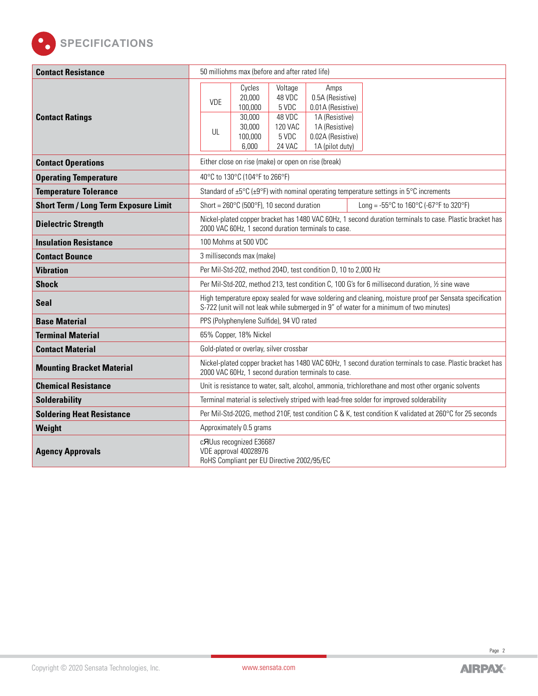

| <b>Contact Resistance</b>                    | 50 milliohms max (before and after rated life)                                                                                                                                                                                                                                                    |  |  |  |  |
|----------------------------------------------|---------------------------------------------------------------------------------------------------------------------------------------------------------------------------------------------------------------------------------------------------------------------------------------------------|--|--|--|--|
| <b>Contact Ratings</b>                       | Cycles<br>Voltage<br>Amps<br>20,000<br>48 VDC<br>0.5A (Resistive)<br><b>VDE</b><br>100,000<br>5 VDC<br>0.01A (Resistive)<br>48 VDC<br>30,000<br>1A (Resistive)<br><b>120 VAC</b><br>1A (Resistive)<br>30,000<br>UL<br>100,000<br>5 VDC<br>0.02A (Resistive)<br>6,000<br>24 VAC<br>1A (pilot duty) |  |  |  |  |
| <b>Contact Operations</b>                    | Either close on rise (make) or open on rise (break)                                                                                                                                                                                                                                               |  |  |  |  |
| <b>Operating Temperature</b>                 | 40°C to 130°C (104°F to 266°F)                                                                                                                                                                                                                                                                    |  |  |  |  |
| <b>Temperature Tolerance</b>                 | Standard of $\pm 5^{\circ}$ C ( $\pm 9^{\circ}$ F) with nominal operating temperature settings in $5^{\circ}$ C increments                                                                                                                                                                        |  |  |  |  |
| <b>Short Term / Long Term Exposure Limit</b> | Short = $260^{\circ}$ C (500 $^{\circ}$ F), 10 second duration<br>Long = - $55^{\circ}$ C to 160 $^{\circ}$ C (-67 $^{\circ}$ F to 320 $^{\circ}$ F)                                                                                                                                              |  |  |  |  |
| <b>Dielectric Strength</b>                   | Nickel-plated copper bracket has 1480 VAC 60Hz, 1 second duration terminals to case. Plastic bracket has<br>2000 VAC 60Hz, 1 second duration terminals to case.                                                                                                                                   |  |  |  |  |
| <b>Insulation Resistance</b>                 | 100 Mohms at 500 VDC                                                                                                                                                                                                                                                                              |  |  |  |  |
| <b>Contact Bounce</b>                        | 3 milliseconds max (make)                                                                                                                                                                                                                                                                         |  |  |  |  |
| <b>Vibration</b>                             | Per Mil-Std-202, method 204D, test condition D, 10 to 2,000 Hz                                                                                                                                                                                                                                    |  |  |  |  |
| <b>Shock</b>                                 | Per Mil-Std-202, method 213, test condition C, 100 G's for 6 millisecond duration, 1/2 sine wave                                                                                                                                                                                                  |  |  |  |  |
| <b>Seal</b>                                  | High temperature epoxy sealed for wave soldering and cleaning, moisture proof per Sensata specification<br>S-722 (unit will not leak while submerged in 9" of water for a minimum of two minutes)                                                                                                 |  |  |  |  |
| <b>Base Material</b>                         | PPS (Polyphenylene Sulfide), 94 VO rated                                                                                                                                                                                                                                                          |  |  |  |  |
| <b>Terminal Material</b>                     | 65% Copper, 18% Nickel                                                                                                                                                                                                                                                                            |  |  |  |  |
| <b>Contact Material</b>                      | Gold-plated or overlay, silver crossbar                                                                                                                                                                                                                                                           |  |  |  |  |
| <b>Mounting Bracket Material</b>             | Nickel-plated copper bracket has 1480 VAC 60Hz, 1 second duration terminals to case. Plastic bracket has<br>2000 VAC 60Hz, 1 second duration terminals to case.                                                                                                                                   |  |  |  |  |
| <b>Chemical Resistance</b>                   | Unit is resistance to water, salt, alcohol, ammonia, trichlorethane and most other organic solvents                                                                                                                                                                                               |  |  |  |  |
| <b>Solderability</b>                         | Terminal material is selectively striped with lead-free solder for improved solderability                                                                                                                                                                                                         |  |  |  |  |
| <b>Soldering Heat Resistance</b>             | Per Mil-Std-202G, method 210F, test condition C & K, test condition K validated at 260°C for 25 seconds                                                                                                                                                                                           |  |  |  |  |
| Weight                                       | Approximately 0.5 grams                                                                                                                                                                                                                                                                           |  |  |  |  |
| <b>Agency Approvals</b>                      | c <sub>RUus</sub> recognized E36687<br>VDE approval 40028976<br>RoHS Compliant per EU Directive 2002/95/EC                                                                                                                                                                                        |  |  |  |  |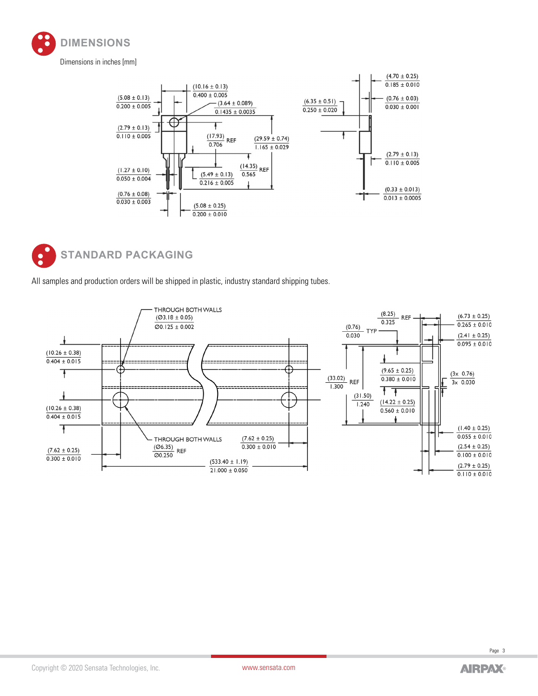





All samples and production orders will be shipped in plastic, industry standard shipping tubes.



Page 3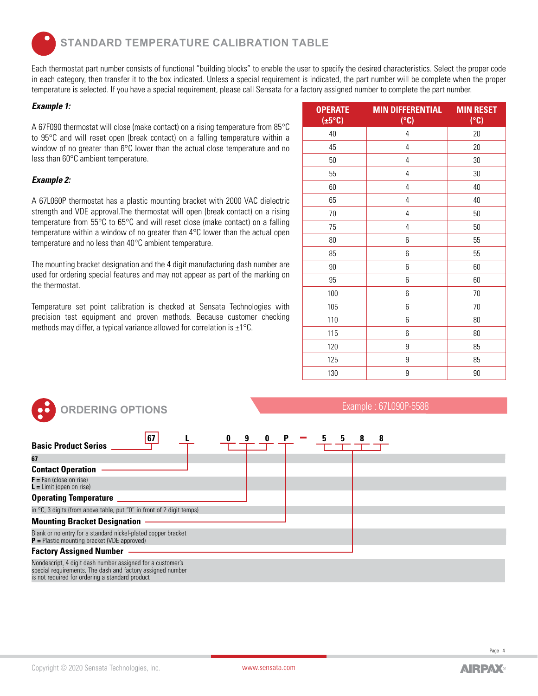**STANDARD TEMPERATURE CALIBRATION TABLE**

Each thermostat part number consists of functional "building blocks" to enable the user to specify the desired characteristics. Select the proper code in each category, then transfer it to the box indicated. Unless a special requirement is indicated, the part number will be complete when the proper temperature is selected. If you have a special requirement, please call Sensata for a factory assigned number to complete the part number.

#### *Example 1:*

A 67F090 thermostat will close (make contact) on a rising temperature from 85°C to 95°C and will reset open (break contact) on a falling temperature within a window of no greater than 6°C lower than the actual close temperature and no less than 60°C ambient temperature.

### *Example 2:*

A 67L060P thermostat has a plastic mounting bracket with 2000 VAC dielectric strength and VDE approval.The thermostat will open (break contact) on a rising temperature from 55°C to 65°C and will reset close (make contact) on a falling temperature within a window of no greater than 4°C lower than the actual open temperature and no less than 40°C ambient temperature.

The mounting bracket designation and the 4 digit manufacturing dash number are used for ordering special features and may not appear as part of the marking on the thermostat.

Temperature set point calibration is checked at Sensata Technologies with precision test equipment and proven methods. Because customer checking methods may differ, a typical variance allowed for correlation is ±1°C.

| <b>OPERATE</b><br>$(\pm 5^{\circ}C)$ | <b>MIN DIFFERENTIAL</b><br>(°C) | <b>MIN RESET</b><br>(°C) |
|--------------------------------------|---------------------------------|--------------------------|
| 40                                   | 4                               | 20                       |
| 45                                   | $\overline{4}$                  | 20                       |
| 50                                   | 4                               | 30                       |
| 55                                   | 4                               | 30                       |
| 60                                   | 4                               | 40                       |
| 65                                   | 4                               | 40                       |
| 70                                   | $\overline{4}$                  | 50                       |
| 75                                   | 4                               | 50                       |
| 80                                   | 6                               | 55                       |
| 85                                   | 6                               | 55                       |
| 90                                   | 6                               | 60                       |
| 95                                   | 6                               | 60                       |
| 100                                  | 6                               | 70                       |
| 105                                  | 6                               | 70                       |
| 110                                  | 6                               | 80                       |
| 115                                  | 6                               | 80                       |
| 120                                  | 9                               | 85                       |
| 125                                  | 9                               | 85                       |
| 130                                  | 9                               | 90                       |

| <b>ORDERING OPTIONS</b>                                                                                                                                                                                                                  | Example: 67L090P-5588 |  |  |
|------------------------------------------------------------------------------------------------------------------------------------------------------------------------------------------------------------------------------------------|-----------------------|--|--|
| 67<br><b>Basic Product Series</b><br>67                                                                                                                                                                                                  |                       |  |  |
| <b>Contact Operation</b>                                                                                                                                                                                                                 |                       |  |  |
| $F = Fan$ (close on rise)<br>$L =$ Limit (open on rise)                                                                                                                                                                                  |                       |  |  |
| <b>Operating Temperature</b>                                                                                                                                                                                                             |                       |  |  |
| in $\degree$ C, 3 digits (from above table, put "0" in front of 2 digit temps)                                                                                                                                                           |                       |  |  |
| <b>Mounting Bracket Designation</b>                                                                                                                                                                                                      |                       |  |  |
| Blank or no entry for a standard nickel-plated copper bracket<br>$P =$ Plastic mounting bracket (VDE approved)                                                                                                                           |                       |  |  |
| <b>Factory Assigned Number</b>                                                                                                                                                                                                           |                       |  |  |
| Nondescript, 4 digit dash number assigned for a customer's<br>special requirements. The dash and factory assigned number<br>is not requirements. The dash and factory assigned number<br>is not required for ordering a standard product |                       |  |  |